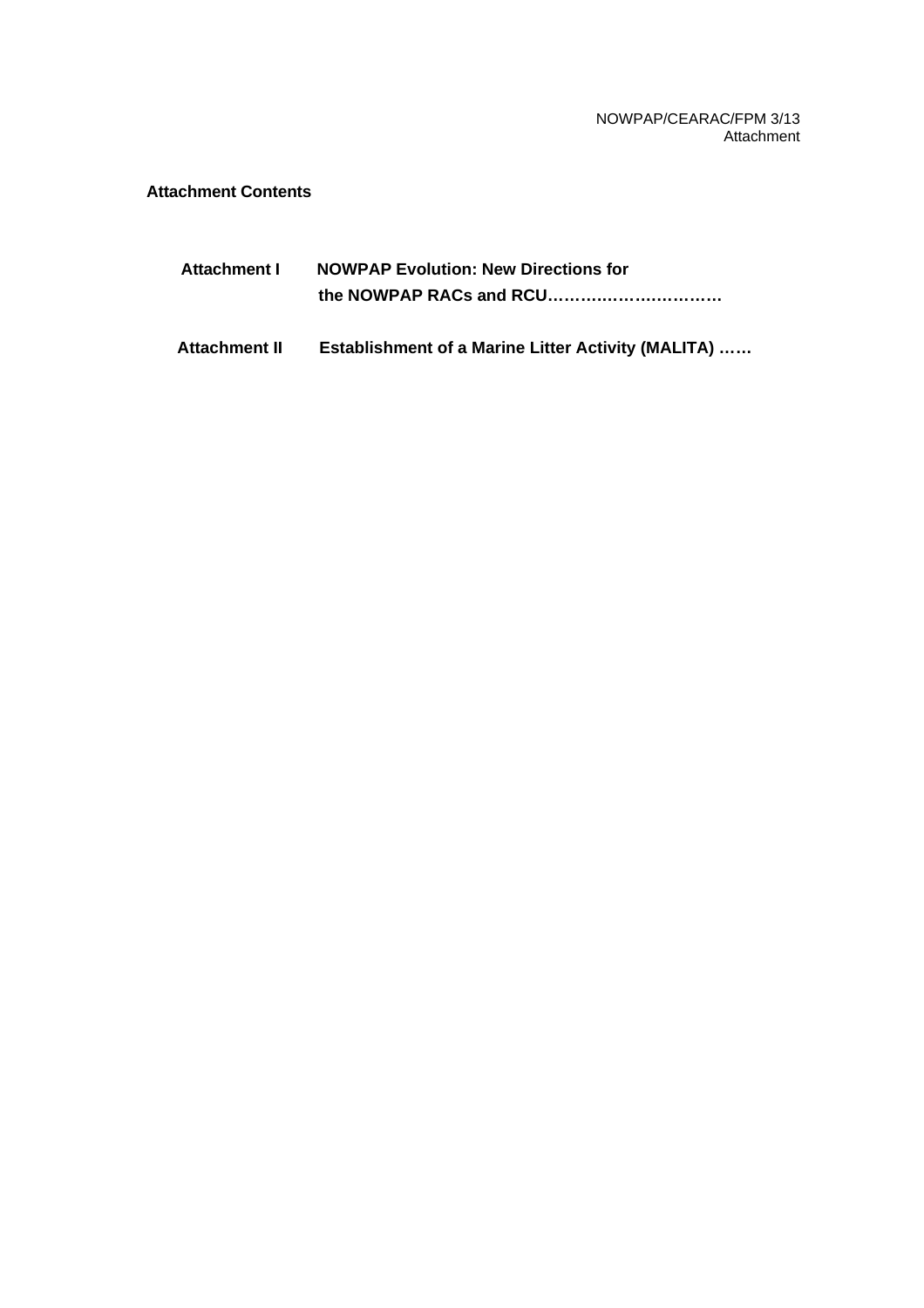NOWPAP/CEARAC/FPM 3/13 Attachment

# **Attachment Contents**

| Attachment I | <b>NOWPAP Evolution: New Directions for</b> |
|--------------|---------------------------------------------|
|              |                                             |

**Attachment II Establishment of a Marine Litter Activity (MALITA) ……**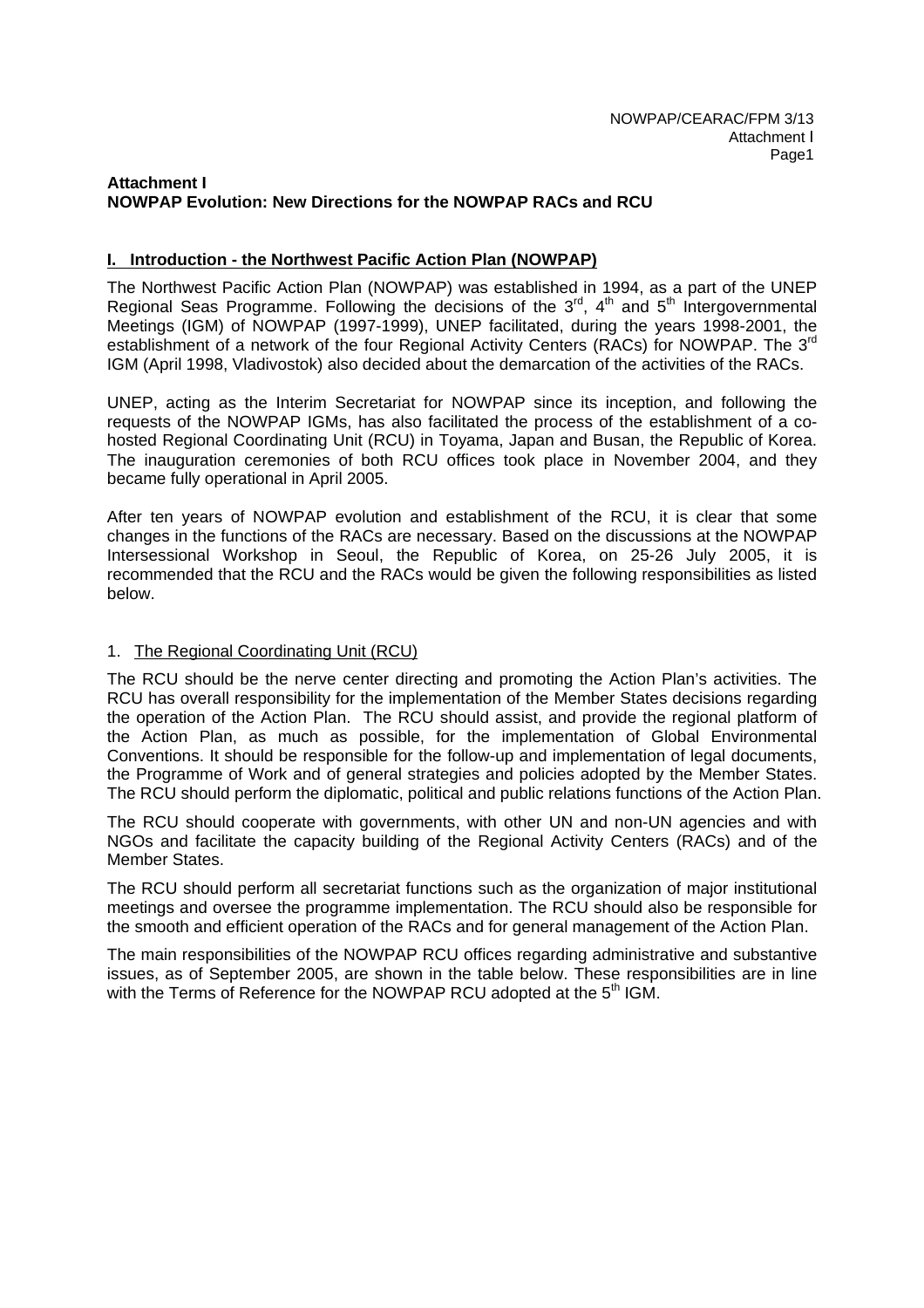#### **Attachment I NOWPAP Evolution: New Directions for the NOWPAP RACs and RCU**

### **I. Introduction - the Northwest Pacific Action Plan (NOWPAP)**

The Northwest Pacific Action Plan (NOWPAP) was established in 1994, as a part of the UNEP Regional Seas Programme. Following the decisions of the  $3<sup>rd</sup>$ , 4<sup>th</sup> and  $5<sup>th</sup>$  Intergovernmental Meetings (IGM) of NOWPAP (1997-1999), UNEP facilitated, during the years 1998-2001, the establishment of a network of the four Regional Activity Centers (RACs) for NOWPAP. The 3<sup>rd</sup> IGM (April 1998, Vladivostok) also decided about the demarcation of the activities of the RACs.

UNEP, acting as the Interim Secretariat for NOWPAP since its inception, and following the requests of the NOWPAP IGMs, has also facilitated the process of the establishment of a cohosted Regional Coordinating Unit (RCU) in Toyama, Japan and Busan, the Republic of Korea. The inauguration ceremonies of both RCU offices took place in November 2004, and they became fully operational in April 2005.

After ten years of NOWPAP evolution and establishment of the RCU, it is clear that some changes in the functions of the RACs are necessary. Based on the discussions at the NOWPAP Intersessional Workshop in Seoul, the Republic of Korea, on 25-26 July 2005, it is recommended that the RCU and the RACs would be given the following responsibilities as listed below.

### 1. The Regional Coordinating Unit (RCU)

The RCU should be the nerve center directing and promoting the Action Plan's activities. The RCU has overall responsibility for the implementation of the Member States decisions regarding the operation of the Action Plan. The RCU should assist, and provide the regional platform of the Action Plan, as much as possible, for the implementation of Global Environmental Conventions. It should be responsible for the follow-up and implementation of legal documents, the Programme of Work and of general strategies and policies adopted by the Member States. The RCU should perform the diplomatic, political and public relations functions of the Action Plan.

The RCU should cooperate with governments, with other UN and non-UN agencies and with NGOs and facilitate the capacity building of the Regional Activity Centers (RACs) and of the Member States.

The RCU should perform all secretariat functions such as the organization of major institutional meetings and oversee the programme implementation. The RCU should also be responsible for the smooth and efficient operation of the RACs and for general management of the Action Plan.

The main responsibilities of the NOWPAP RCU offices regarding administrative and substantive issues, as of September 2005, are shown in the table below. These responsibilities are in line with the Terms of Reference for the NOWPAP RCU adopted at the 5<sup>th</sup> IGM.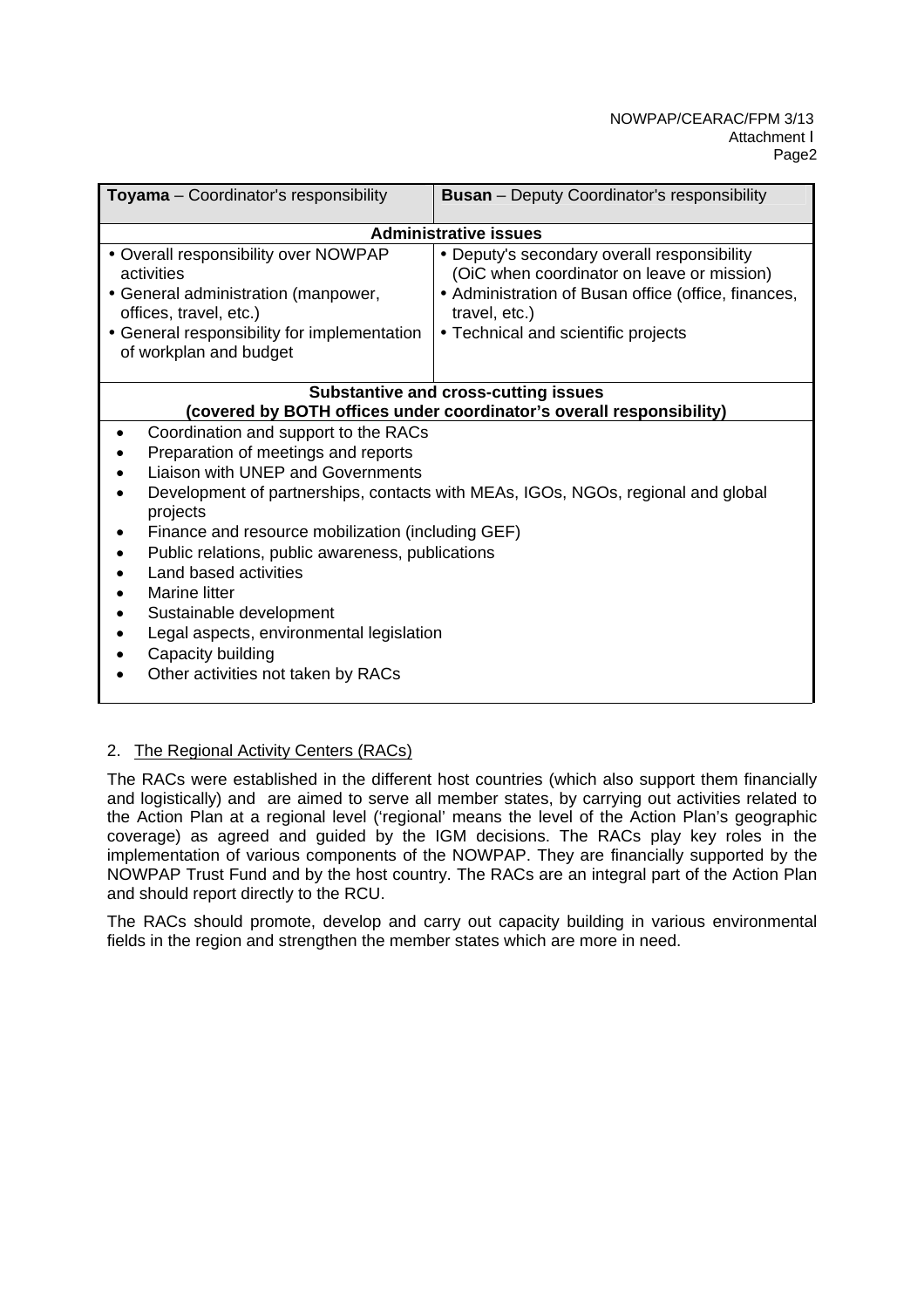| Toyama - Coordinator's responsibility                                                                                                                                                                                                                                                                                                                                                                             | <b>Busan</b> - Deputy Coordinator's responsibility                                                                                                                                                       |
|-------------------------------------------------------------------------------------------------------------------------------------------------------------------------------------------------------------------------------------------------------------------------------------------------------------------------------------------------------------------------------------------------------------------|----------------------------------------------------------------------------------------------------------------------------------------------------------------------------------------------------------|
|                                                                                                                                                                                                                                                                                                                                                                                                                   | <b>Administrative issues</b>                                                                                                                                                                             |
| • Overall responsibility over NOWPAP<br>activities<br>• General administration (manpower,<br>offices, travel, etc.)<br>• General responsibility for implementation<br>of workplan and budget                                                                                                                                                                                                                      | • Deputy's secondary overall responsibility<br>(OiC when coordinator on leave or mission)<br>• Administration of Busan office (office, finances,<br>travel, etc.)<br>• Technical and scientific projects |
|                                                                                                                                                                                                                                                                                                                                                                                                                   | <b>Substantive and cross-cutting issues</b>                                                                                                                                                              |
|                                                                                                                                                                                                                                                                                                                                                                                                                   | (covered by BOTH offices under coordinator's overall responsibility)                                                                                                                                     |
| Coordination and support to the RACs<br>Preparation of meetings and reports<br>Liaison with UNEP and Governments<br>projects<br>Finance and resource mobilization (including GEF)<br>Public relations, public awareness, publications<br>Land based activities<br>Marine litter<br>Sustainable development<br>Legal aspects, environmental legislation<br>Capacity building<br>Other activities not taken by RACs | Development of partnerships, contacts with MEAs, IGOs, NGOs, regional and global                                                                                                                         |

# 2. The Regional Activity Centers (RACs)

The RACs were established in the different host countries (which also support them financially and logistically) and are aimed to serve all member states, by carrying out activities related to the Action Plan at a regional level ('regional' means the level of the Action Plan's geographic coverage) as agreed and guided by the IGM decisions. The RACs play key roles in the implementation of various components of the NOWPAP. They are financially supported by the NOWPAP Trust Fund and by the host country. The RACs are an integral part of the Action Plan and should report directly to the RCU.

The RACs should promote, develop and carry out capacity building in various environmental fields in the region and strengthen the member states which are more in need.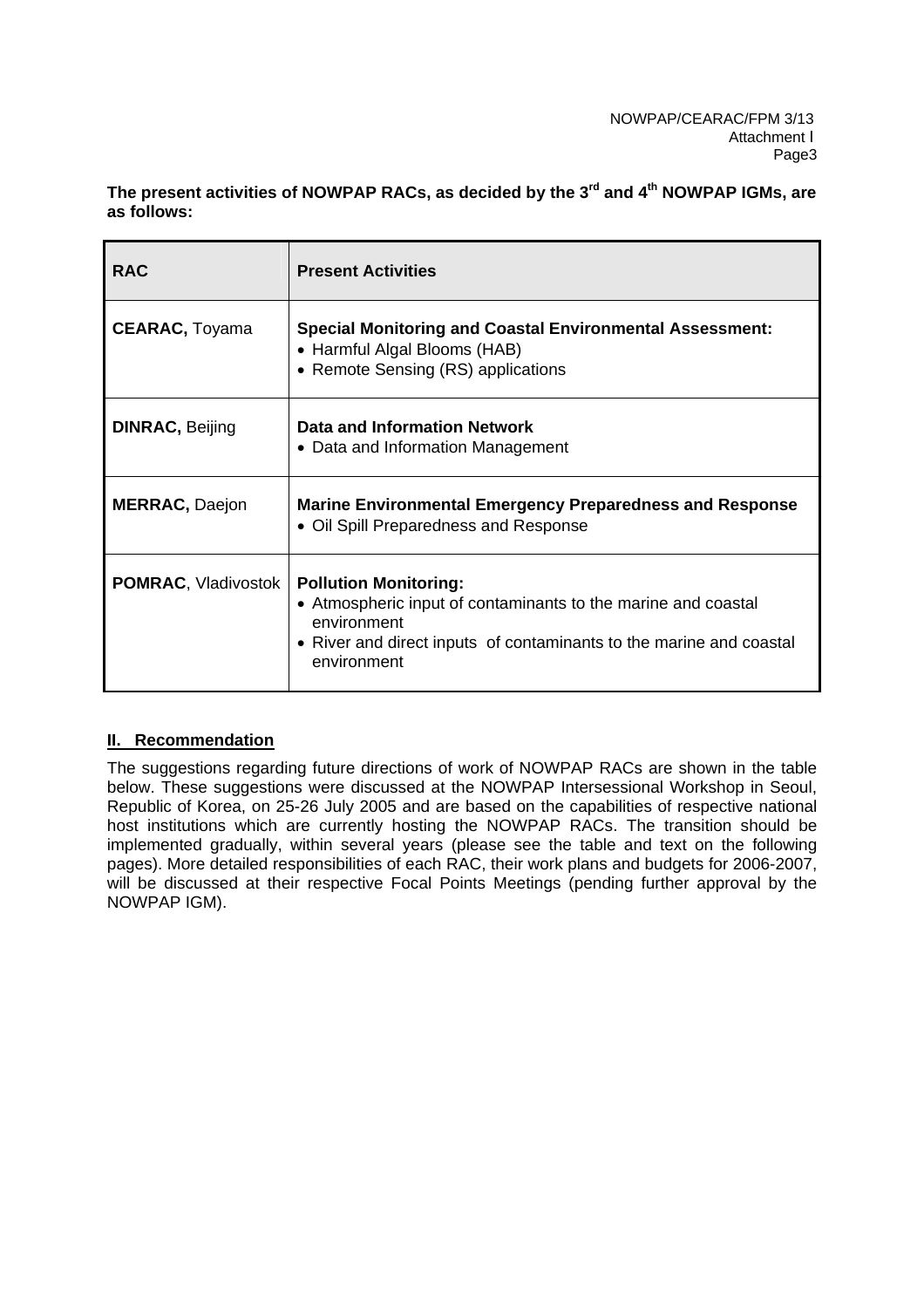**The present activities of NOWPAP RACs, as decided by the 3rd and 4th NOWPAP IGMs, are as follows:** 

| <b>RAC</b>                 | <b>Present Activities</b>                                                                                                                                                                          |
|----------------------------|----------------------------------------------------------------------------------------------------------------------------------------------------------------------------------------------------|
| <b>CEARAC, Toyama</b>      | <b>Special Monitoring and Coastal Environmental Assessment:</b><br>• Harmful Algal Blooms (HAB)<br>• Remote Sensing (RS) applications                                                              |
| <b>DINRAC, Beijing</b>     | Data and Information Network<br>• Data and Information Management                                                                                                                                  |
| <b>MERRAC, Daejon</b>      | <b>Marine Environmental Emergency Preparedness and Response</b><br>• Oil Spill Preparedness and Response                                                                                           |
| <b>POMRAC, Vladivostok</b> | <b>Pollution Monitoring:</b><br>• Atmospheric input of contaminants to the marine and coastal<br>environment<br>• River and direct inputs of contaminants to the marine and coastal<br>environment |

# **II. Recommendation**

The suggestions regarding future directions of work of NOWPAP RACs are shown in the table below. These suggestions were discussed at the NOWPAP Intersessional Workshop in Seoul, Republic of Korea, on 25-26 July 2005 and are based on the capabilities of respective national host institutions which are currently hosting the NOWPAP RACs. The transition should be implemented gradually, within several years (please see the table and text on the following pages). More detailed responsibilities of each RAC, their work plans and budgets for 2006-2007, will be discussed at their respective Focal Points Meetings (pending further approval by the NOWPAP IGM).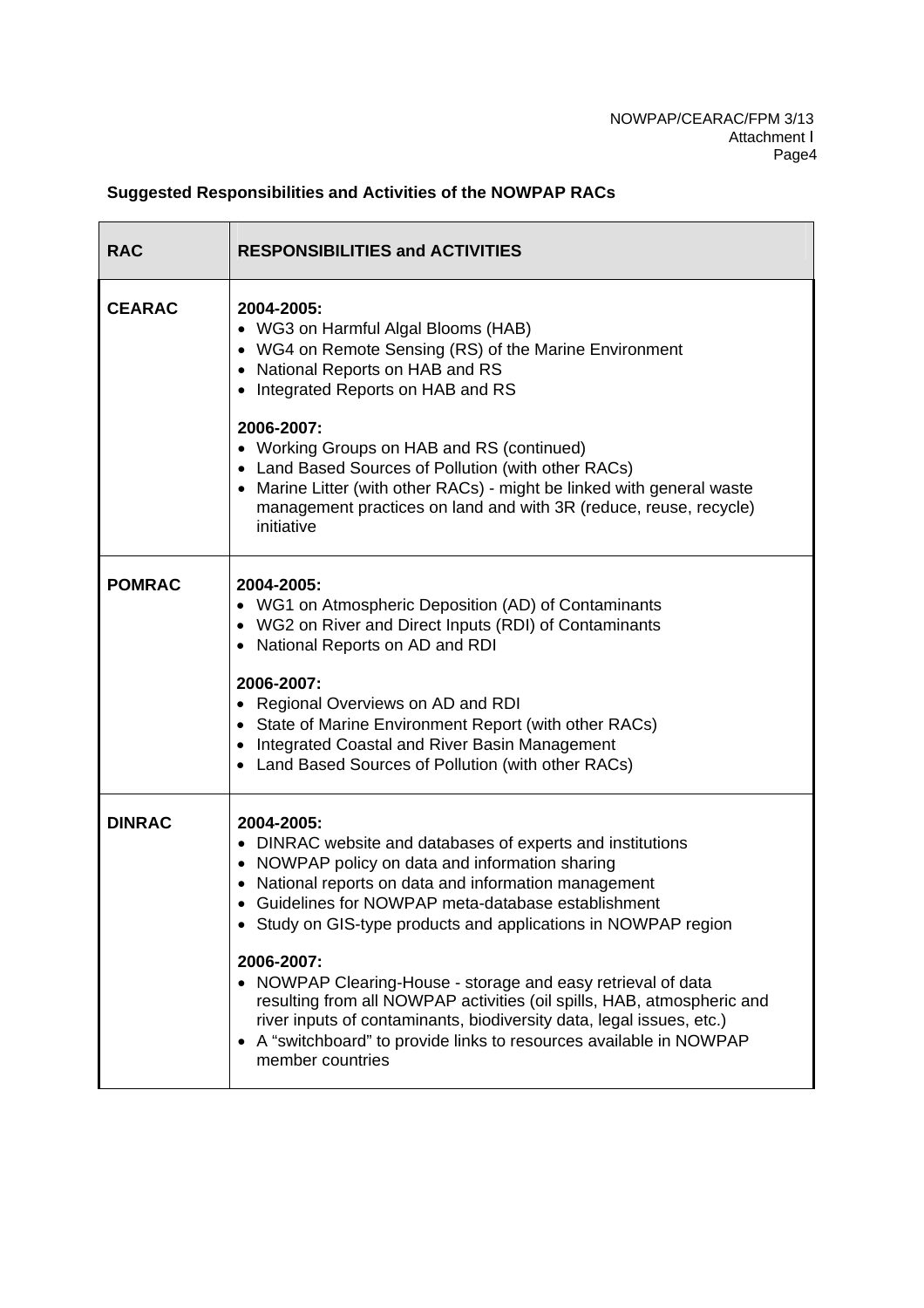# **Suggested Responsibilities and Activities of the NOWPAP RACs**

| <b>RAC</b>    | <b>RESPONSIBILITIES and ACTIVITIES</b>                                                                                                                                                                                                                                                                                                                                                                                                                                                                                                                                                                                             |  |
|---------------|------------------------------------------------------------------------------------------------------------------------------------------------------------------------------------------------------------------------------------------------------------------------------------------------------------------------------------------------------------------------------------------------------------------------------------------------------------------------------------------------------------------------------------------------------------------------------------------------------------------------------------|--|
| <b>CEARAC</b> | 2004-2005:<br>• WG3 on Harmful Algal Blooms (HAB)<br>• WG4 on Remote Sensing (RS) of the Marine Environment<br>• National Reports on HAB and RS<br>Integrated Reports on HAB and RS<br>2006-2007:<br>• Working Groups on HAB and RS (continued)<br>• Land Based Sources of Pollution (with other RACs)<br>• Marine Litter (with other RACs) - might be linked with general waste<br>management practices on land and with 3R (reduce, reuse, recycle)<br>initiative                                                                                                                                                                |  |
| <b>POMRAC</b> | 2004-2005:<br>• WG1 on Atmospheric Deposition (AD) of Contaminants<br>• WG2 on River and Direct Inputs (RDI) of Contaminants<br>• National Reports on AD and RDI<br>2006-2007:<br>• Regional Overviews on AD and RDI<br>• State of Marine Environment Report (with other RACs)<br>• Integrated Coastal and River Basin Management<br>• Land Based Sources of Pollution (with other RACs)                                                                                                                                                                                                                                           |  |
| <b>DINRAC</b> | 2004-2005:<br>• DINRAC website and databases of experts and institutions<br>• NOWPAP policy on data and information sharing<br>National reports on data and information management<br>Guidelines for NOWPAP meta-database establishment<br>• Study on GIS-type products and applications in NOWPAP region<br>2006-2007:<br>• NOWPAP Clearing-House - storage and easy retrieval of data<br>resulting from all NOWPAP activities (oil spills, HAB, atmospheric and<br>river inputs of contaminants, biodiversity data, legal issues, etc.)<br>A "switchboard" to provide links to resources available in NOWPAP<br>member countries |  |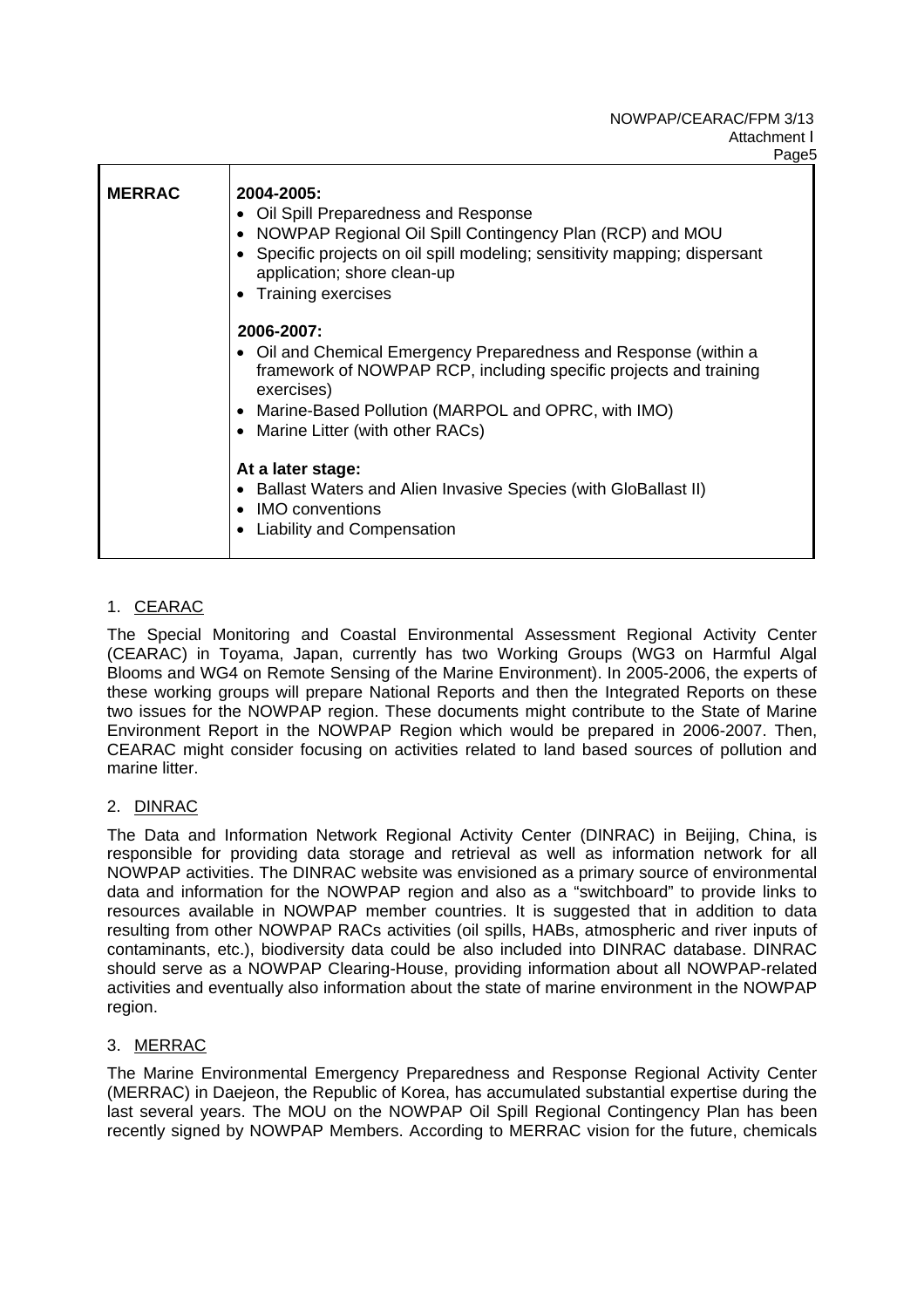#### NOWPAP/CEARAC/FPM 3/13 Attachment I Page5

| <b>MERRAC</b> | 2004-2005:<br>• Oil Spill Preparedness and Response<br>• NOWPAP Regional Oil Spill Contingency Plan (RCP) and MOU<br>• Specific projects on oil spill modeling; sensitivity mapping; dispersant<br>application; shore clean-up<br>• Training exercises         |
|---------------|----------------------------------------------------------------------------------------------------------------------------------------------------------------------------------------------------------------------------------------------------------------|
|               | 2006-2007:<br>• Oil and Chemical Emergency Preparedness and Response (within a<br>framework of NOWPAP RCP, including specific projects and training<br>exercises)<br>• Marine-Based Pollution (MARPOL and OPRC, with IMO)<br>• Marine Litter (with other RACs) |
|               | At a later stage:<br>• Ballast Waters and Alien Invasive Species (with GloBallast II)<br><b>IMO</b> conventions<br><b>Liability and Compensation</b>                                                                                                           |

# 1. CEARAC

The Special Monitoring and Coastal Environmental Assessment Regional Activity Center (CEARAC) in Toyama, Japan, currently has two Working Groups (WG3 on Harmful Algal Blooms and WG4 on Remote Sensing of the Marine Environment). In 2005-2006, the experts of these working groups will prepare National Reports and then the Integrated Reports on these two issues for the NOWPAP region. These documents might contribute to the State of Marine Environment Report in the NOWPAP Region which would be prepared in 2006-2007. Then, CEARAC might consider focusing on activities related to land based sources of pollution and marine litter.

# 2. DINRAC

The Data and Information Network Regional Activity Center (DINRAC) in Beijing, China, is responsible for providing data storage and retrieval as well as information network for all NOWPAP activities. The DINRAC website was envisioned as a primary source of environmental data and information for the NOWPAP region and also as a "switchboard" to provide links to resources available in NOWPAP member countries. It is suggested that in addition to data resulting from other NOWPAP RACs activities (oil spills, HABs, atmospheric and river inputs of contaminants, etc.), biodiversity data could be also included into DINRAC database. DINRAC should serve as a NOWPAP Clearing-House, providing information about all NOWPAP-related activities and eventually also information about the state of marine environment in the NOWPAP region.

# 3. MERRAC

The Marine Environmental Emergency Preparedness and Response Regional Activity Center (MERRAC) in Daejeon, the Republic of Korea, has accumulated substantial expertise during the last several years. The MOU on the NOWPAP Oil Spill Regional Contingency Plan has been recently signed by NOWPAP Members. According to MERRAC vision for the future, chemicals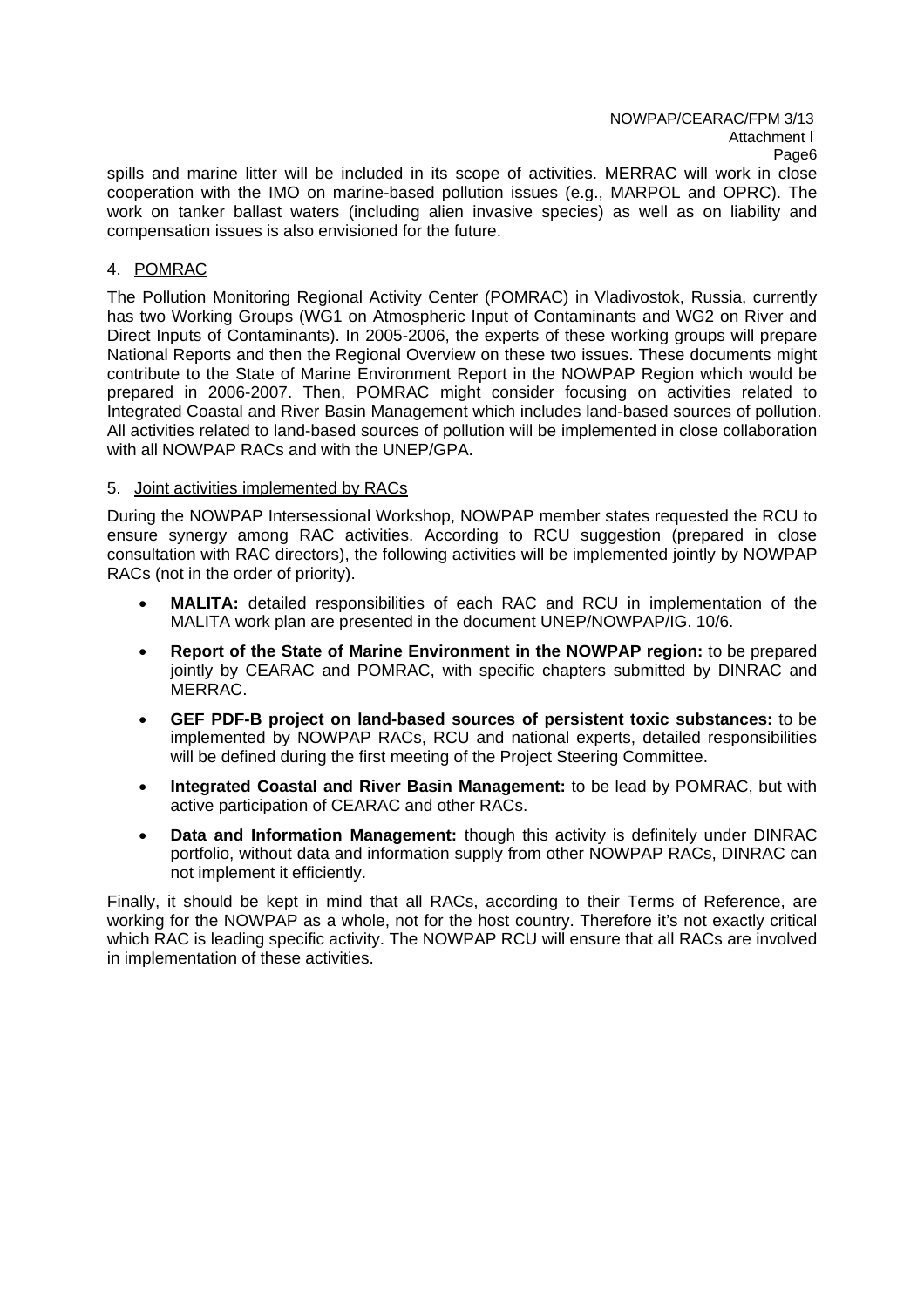spills and marine litter will be included in its scope of activities. MERRAC will work in close cooperation with the IMO on marine-based pollution issues (e.g., MARPOL and OPRC). The work on tanker ballast waters (including alien invasive species) as well as on liability and compensation issues is also envisioned for the future.

### 4. POMRAC

The Pollution Monitoring Regional Activity Center (POMRAC) in Vladivostok, Russia, currently has two Working Groups (WG1 on Atmospheric Input of Contaminants and WG2 on River and Direct Inputs of Contaminants). In 2005-2006, the experts of these working groups will prepare National Reports and then the Regional Overview on these two issues. These documents might contribute to the State of Marine Environment Report in the NOWPAP Region which would be prepared in 2006-2007. Then, POMRAC might consider focusing on activities related to Integrated Coastal and River Basin Management which includes land-based sources of pollution. All activities related to land-based sources of pollution will be implemented in close collaboration with all NOWPAP RACs and with the UNEP/GPA.

#### 5. Joint activities implemented by RACs

During the NOWPAP Intersessional Workshop, NOWPAP member states requested the RCU to ensure synergy among RAC activities. According to RCU suggestion (prepared in close consultation with RAC directors), the following activities will be implemented jointly by NOWPAP RACs (not in the order of priority).

- **MALITA:** detailed responsibilities of each RAC and RCU in implementation of the MALITA work plan are presented in the document UNEP/NOWPAP/IG. 10/6.
- **Report of the State of Marine Environment in the NOWPAP region:** to be prepared jointly by CEARAC and POMRAC, with specific chapters submitted by DINRAC and MERRAC.
- **GEF PDF-B project on land-based sources of persistent toxic substances:** to be implemented by NOWPAP RACs, RCU and national experts, detailed responsibilities will be defined during the first meeting of the Project Steering Committee.
- **Integrated Coastal and River Basin Management:** to be lead by POMRAC, but with active participation of CEARAC and other RACs.
- **Data and Information Management:** though this activity is definitely under DINRAC portfolio, without data and information supply from other NOWPAP RACs, DINRAC can not implement it efficiently.

Finally, it should be kept in mind that all RACs, according to their Terms of Reference, are working for the NOWPAP as a whole, not for the host country. Therefore it's not exactly critical which RAC is leading specific activity. The NOWPAP RCU will ensure that all RACs are involved in implementation of these activities.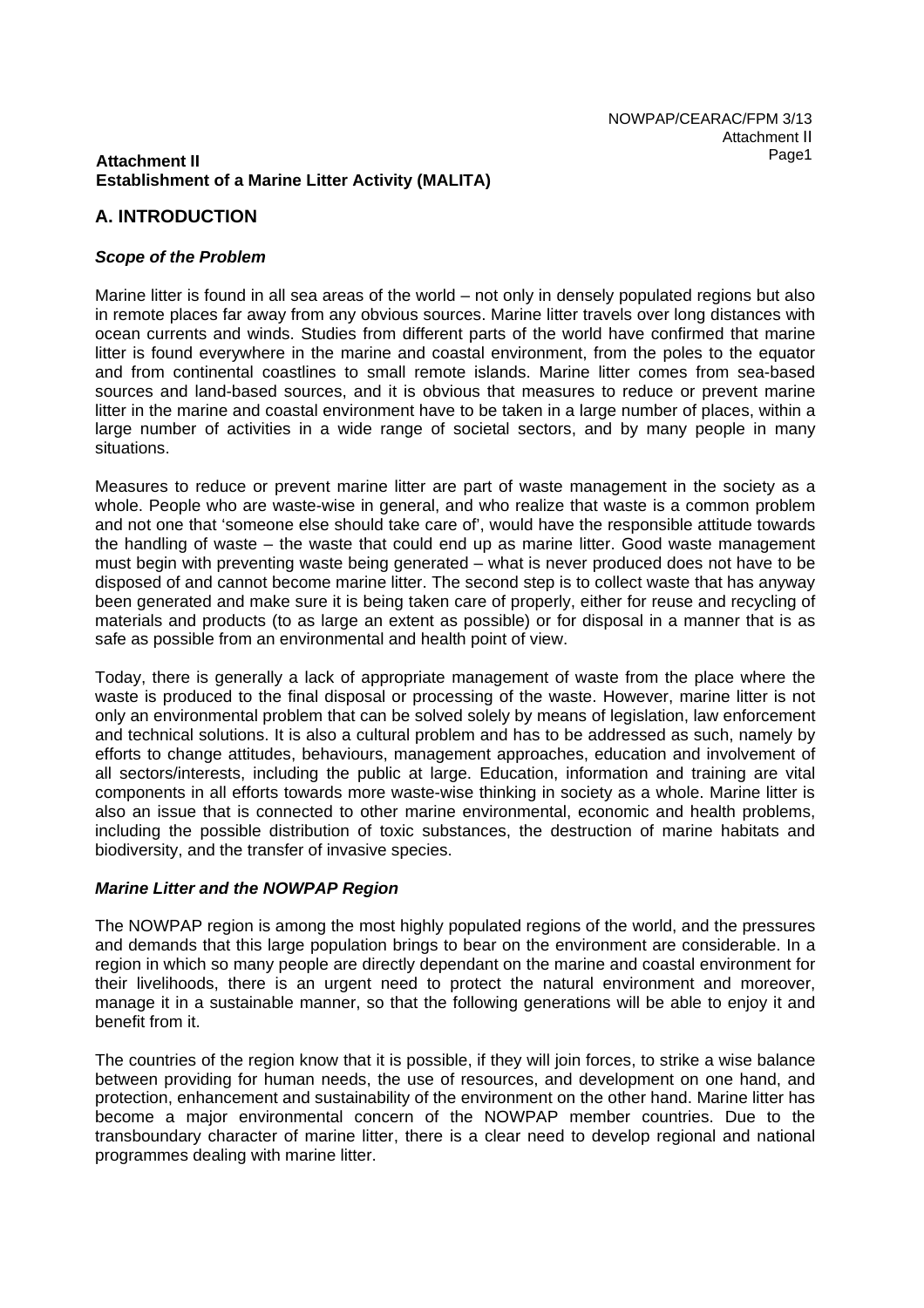### **Attachment II Establishment of a Marine Litter Activity (MALITA)**

# **A. INTRODUCTION**

### *Scope of the Problem*

Marine litter is found in all sea areas of the world – not only in densely populated regions but also in remote places far away from any obvious sources. Marine litter travels over long distances with ocean currents and winds. Studies from different parts of the world have confirmed that marine litter is found everywhere in the marine and coastal environment, from the poles to the equator and from continental coastlines to small remote islands. Marine litter comes from sea-based sources and land-based sources, and it is obvious that measures to reduce or prevent marine litter in the marine and coastal environment have to be taken in a large number of places, within a large number of activities in a wide range of societal sectors, and by many people in many situations.

Measures to reduce or prevent marine litter are part of waste management in the society as a whole. People who are waste-wise in general, and who realize that waste is a common problem and not one that 'someone else should take care of', would have the responsible attitude towards the handling of waste – the waste that could end up as marine litter. Good waste management must begin with preventing waste being generated – what is never produced does not have to be disposed of and cannot become marine litter. The second step is to collect waste that has anyway been generated and make sure it is being taken care of properly, either for reuse and recycling of materials and products (to as large an extent as possible) or for disposal in a manner that is as safe as possible from an environmental and health point of view.

Today, there is generally a lack of appropriate management of waste from the place where the waste is produced to the final disposal or processing of the waste. However, marine litter is not only an environmental problem that can be solved solely by means of legislation, law enforcement and technical solutions. It is also a cultural problem and has to be addressed as such, namely by efforts to change attitudes, behaviours, management approaches, education and involvement of all sectors/interests, including the public at large. Education, information and training are vital components in all efforts towards more waste-wise thinking in society as a whole. Marine litter is also an issue that is connected to other marine environmental, economic and health problems, including the possible distribution of toxic substances, the destruction of marine habitats and biodiversity, and the transfer of invasive species.

#### *Marine Litter and the NOWPAP Region*

The NOWPAP region is among the most highly populated regions of the world, and the pressures and demands that this large population brings to bear on the environment are considerable. In a region in which so many people are directly dependant on the marine and coastal environment for their livelihoods, there is an urgent need to protect the natural environment and moreover, manage it in a sustainable manner, so that the following generations will be able to enjoy it and benefit from it.

The countries of the region know that it is possible, if they will join forces, to strike a wise balance between providing for human needs, the use of resources, and development on one hand, and protection, enhancement and sustainability of the environment on the other hand. Marine litter has become a major environmental concern of the NOWPAP member countries. Due to the transboundary character of marine litter, there is a clear need to develop regional and national programmes dealing with marine litter.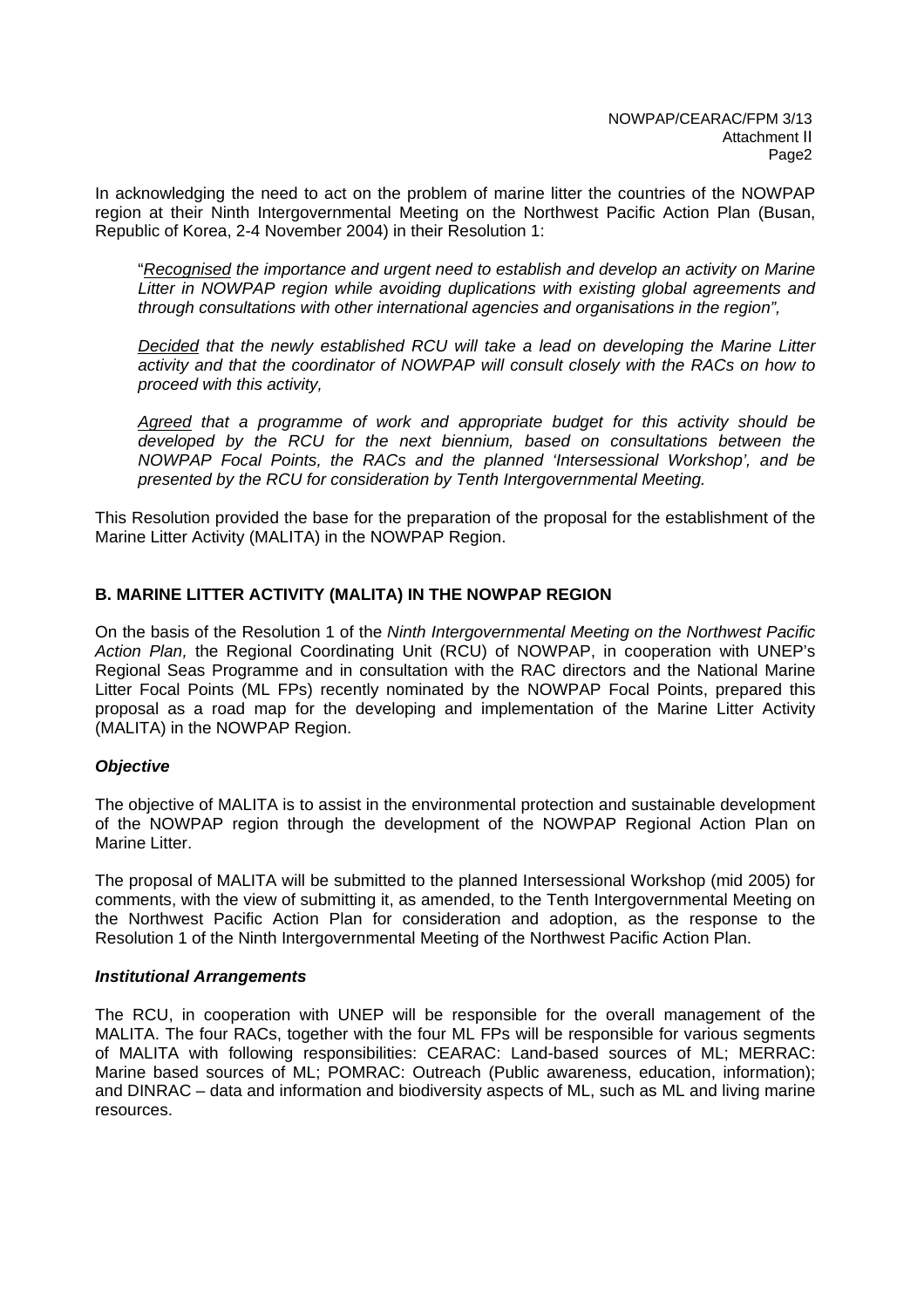In acknowledging the need to act on the problem of marine litter the countries of the NOWPAP region at their Ninth Intergovernmental Meeting on the Northwest Pacific Action Plan (Busan, Republic of Korea, 2-4 November 2004) in their Resolution 1:

"*Recognised the importance and urgent need to establish and develop an activity on Marine*  Litter in NOWPAP region while avoiding duplications with existing global agreements and *through consultations with other international agencies and organisations in the region",* 

*Decided that the newly established RCU will take a lead on developing the Marine Litter activity and that the coordinator of NOWPAP will consult closely with the RACs on how to proceed with this activity,* 

*Agreed that a programme of work and appropriate budget for this activity should be developed by the RCU for the next biennium, based on consultations between the NOWPAP Focal Points, the RACs and the planned 'Intersessional Workshop', and be presented by the RCU for consideration by Tenth Intergovernmental Meeting.*

This Resolution provided the base for the preparation of the proposal for the establishment of the Marine Litter Activity (MALITA) in the NOWPAP Region.

# **B. MARINE LITTER ACTIVITY (MALITA) IN THE NOWPAP REGION**

On the basis of the Resolution 1 of the *Ninth Intergovernmental Meeting on the Northwest Pacific Action Plan,* the Regional Coordinating Unit (RCU) of NOWPAP, in cooperation with UNEP's Regional Seas Programme and in consultation with the RAC directors and the National Marine Litter Focal Points (ML FPs) recently nominated by the NOWPAP Focal Points, prepared this proposal as a road map for the developing and implementation of the Marine Litter Activity (MALITA) in the NOWPAP Region.

#### *Objective*

The objective of MALITA is to assist in the environmental protection and sustainable development of the NOWPAP region through the development of the NOWPAP Regional Action Plan on Marine Litter.

The proposal of MALITA will be submitted to the planned Intersessional Workshop (mid 2005) for comments, with the view of submitting it, as amended, to the Tenth Intergovernmental Meeting on the Northwest Pacific Action Plan for consideration and adoption, as the response to the Resolution 1 of the Ninth Intergovernmental Meeting of the Northwest Pacific Action Plan.

#### *Institutional Arrangements*

The RCU, in cooperation with UNEP will be responsible for the overall management of the MALITA. The four RACs, together with the four ML FPs will be responsible for various segments of MALITA with following responsibilities: CEARAC: Land-based sources of ML; MERRAC: Marine based sources of ML; POMRAC: Outreach (Public awareness, education, information); and DINRAC – data and information and biodiversity aspects of ML, such as ML and living marine resources.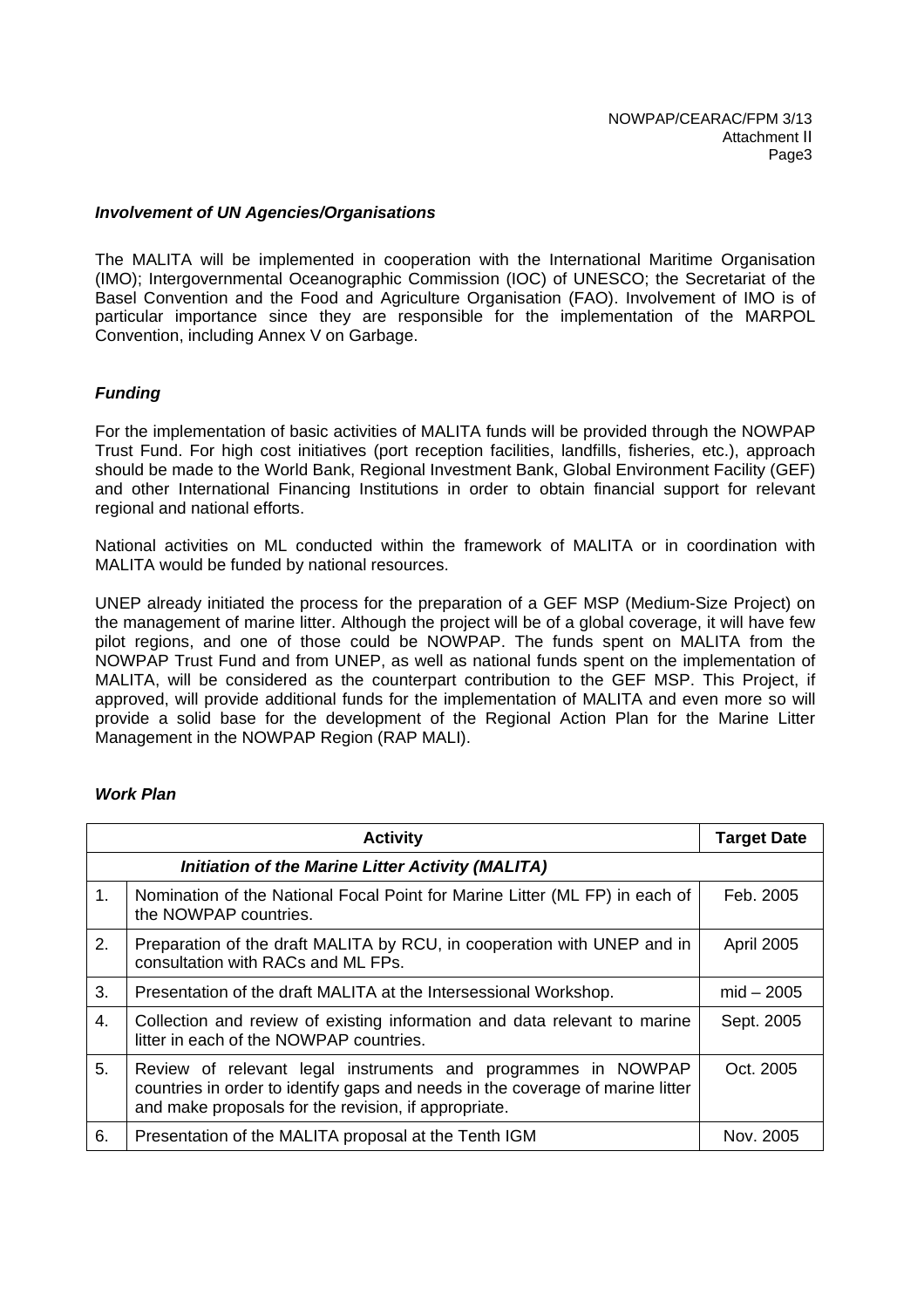#### *Involvement of UN Agencies/Organisations*

The MALITA will be implemented in cooperation with the International Maritime Organisation (IMO); Intergovernmental Oceanographic Commission (IOC) of UNESCO; the Secretariat of the Basel Convention and the Food and Agriculture Organisation (FAO). Involvement of IMO is of particular importance since they are responsible for the implementation of the MARPOL Convention, including Annex V on Garbage.

#### *Funding*

For the implementation of basic activities of MALITA funds will be provided through the NOWPAP Trust Fund. For high cost initiatives (port reception facilities, landfills, fisheries, etc.), approach should be made to the World Bank, Regional Investment Bank, Global Environment Facility (GEF) and other International Financing Institutions in order to obtain financial support for relevant regional and national efforts.

National activities on ML conducted within the framework of MALITA or in coordination with MALITA would be funded by national resources.

UNEP already initiated the process for the preparation of a GEF MSP (Medium-Size Project) on the management of marine litter. Although the project will be of a global coverage, it will have few pilot regions, and one of those could be NOWPAP. The funds spent on MALITA from the NOWPAP Trust Fund and from UNEP, as well as national funds spent on the implementation of MALITA, will be considered as the counterpart contribution to the GEF MSP. This Project, if approved, will provide additional funds for the implementation of MALITA and even more so will provide a solid base for the development of the Regional Action Plan for the Marine Litter Management in the NOWPAP Region (RAP MALI).

|    | <b>Target Date</b>                                                                                                                                                                                      |                   |  |
|----|---------------------------------------------------------------------------------------------------------------------------------------------------------------------------------------------------------|-------------------|--|
|    | Initiation of the Marine Litter Activity (MALITA)                                                                                                                                                       |                   |  |
| 1. | Nomination of the National Focal Point for Marine Litter (ML FP) in each of<br>the NOWPAP countries.                                                                                                    | Feb. 2005         |  |
| 2. | Preparation of the draft MALITA by RCU, in cooperation with UNEP and in<br>consultation with RACs and ML FPs.                                                                                           | <b>April 2005</b> |  |
| 3. | Presentation of the draft MALITA at the Intersessional Workshop.                                                                                                                                        | $mid - 2005$      |  |
| 4. | Collection and review of existing information and data relevant to marine<br>litter in each of the NOWPAP countries.                                                                                    | Sept. 2005        |  |
| 5. | Review of relevant legal instruments and programmes in NOWPAP<br>countries in order to identify gaps and needs in the coverage of marine litter<br>and make proposals for the revision, if appropriate. | Oct. 2005         |  |
| 6. | Presentation of the MALITA proposal at the Tenth IGM                                                                                                                                                    | Nov. 2005         |  |

#### *Work Plan*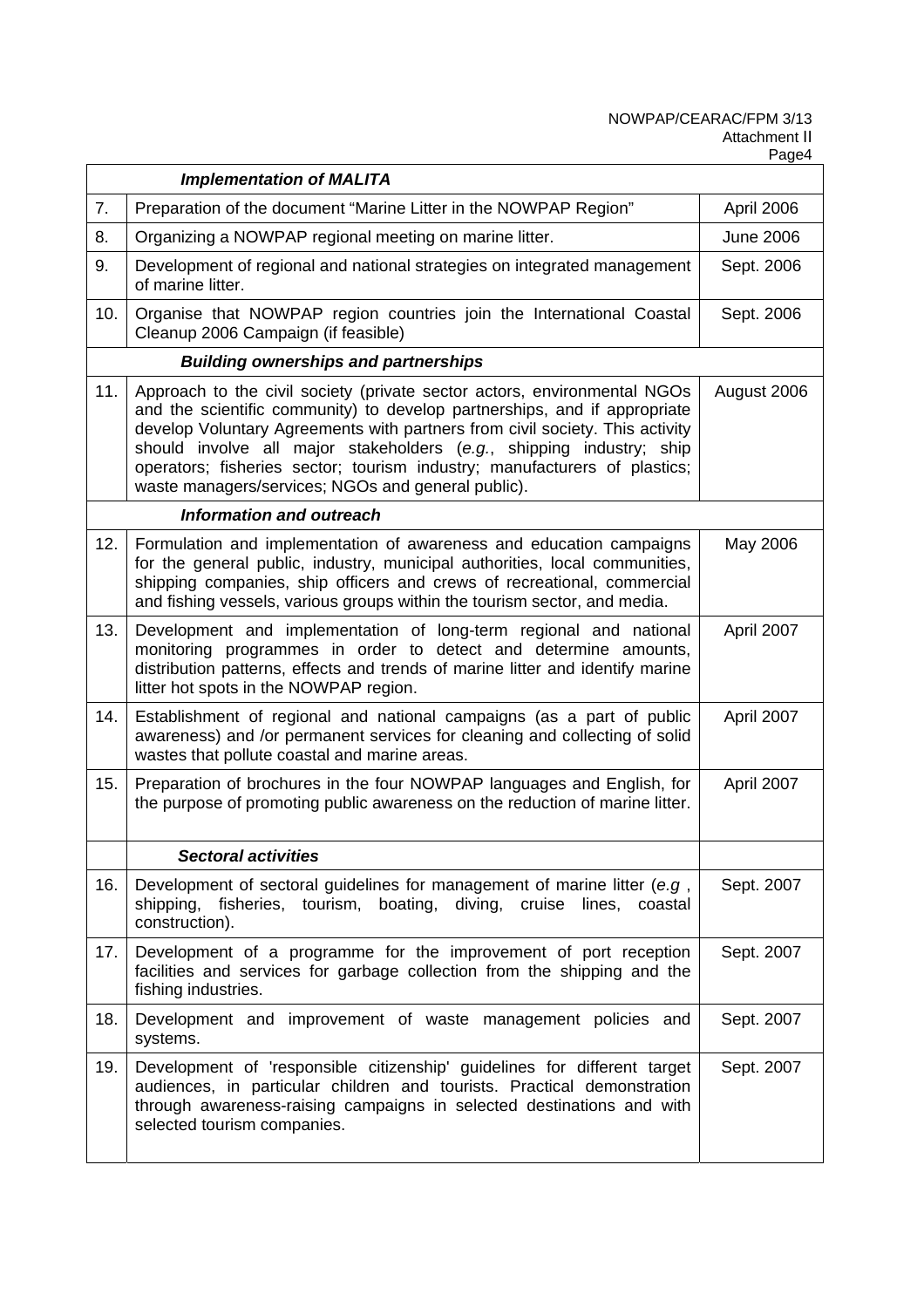|     | <b>Implementation of MALITA</b>                                                                                                                                                                                                                                                                                                                                                                                                                  |                  |  |
|-----|--------------------------------------------------------------------------------------------------------------------------------------------------------------------------------------------------------------------------------------------------------------------------------------------------------------------------------------------------------------------------------------------------------------------------------------------------|------------------|--|
| 7.  | Preparation of the document "Marine Litter in the NOWPAP Region"                                                                                                                                                                                                                                                                                                                                                                                 | April 2006       |  |
| 8.  | Organizing a NOWPAP regional meeting on marine litter.                                                                                                                                                                                                                                                                                                                                                                                           | <b>June 2006</b> |  |
| 9.  | Development of regional and national strategies on integrated management<br>of marine litter.                                                                                                                                                                                                                                                                                                                                                    | Sept. 2006       |  |
| 10. | Organise that NOWPAP region countries join the International Coastal<br>Cleanup 2006 Campaign (if feasible)                                                                                                                                                                                                                                                                                                                                      | Sept. 2006       |  |
|     |                                                                                                                                                                                                                                                                                                                                                                                                                                                  |                  |  |
| 11. | Approach to the civil society (private sector actors, environmental NGOs<br>and the scientific community) to develop partnerships, and if appropriate<br>develop Voluntary Agreements with partners from civil society. This activity<br>should involve all major stakeholders (e.g., shipping industry; ship<br>operators; fisheries sector; tourism industry; manufacturers of plastics;<br>waste managers/services; NGOs and general public). | August 2006      |  |
|     | <b>Information and outreach</b>                                                                                                                                                                                                                                                                                                                                                                                                                  |                  |  |
| 12. | Formulation and implementation of awareness and education campaigns<br>for the general public, industry, municipal authorities, local communities,<br>shipping companies, ship officers and crews of recreational, commercial<br>and fishing vessels, various groups within the tourism sector, and media.                                                                                                                                       | May 2006         |  |
| 13. | Development and implementation of long-term regional and national<br>monitoring programmes in order to detect and determine amounts,<br>distribution patterns, effects and trends of marine litter and identify marine<br>litter hot spots in the NOWPAP region.                                                                                                                                                                                 | April 2007       |  |
| 14. | Establishment of regional and national campaigns (as a part of public<br>awareness) and /or permanent services for cleaning and collecting of solid<br>wastes that pollute coastal and marine areas.                                                                                                                                                                                                                                             | April 2007       |  |
| 15. | Preparation of brochures in the four NOWPAP languages and English, for<br>the purpose of promoting public awareness on the reduction of marine litter.                                                                                                                                                                                                                                                                                           | April 2007       |  |
|     | <b>Sectoral activities</b>                                                                                                                                                                                                                                                                                                                                                                                                                       |                  |  |
| 16. | Development of sectoral guidelines for management of marine litter (e.g,<br>boating, diving, cruise<br>shipping,<br>fisheries, tourism,<br>lines,<br>coastal<br>construction).                                                                                                                                                                                                                                                                   | Sept. 2007       |  |
| 17. | Development of a programme for the improvement of port reception<br>facilities and services for garbage collection from the shipping and the<br>fishing industries.                                                                                                                                                                                                                                                                              | Sept. 2007       |  |
| 18. | Development and improvement of waste management policies and<br>systems.                                                                                                                                                                                                                                                                                                                                                                         | Sept. 2007       |  |
| 19. | Development of 'responsible citizenship' guidelines for different target<br>audiences, in particular children and tourists. Practical demonstration<br>through awareness-raising campaigns in selected destinations and with<br>selected tourism companies.                                                                                                                                                                                      | Sept. 2007       |  |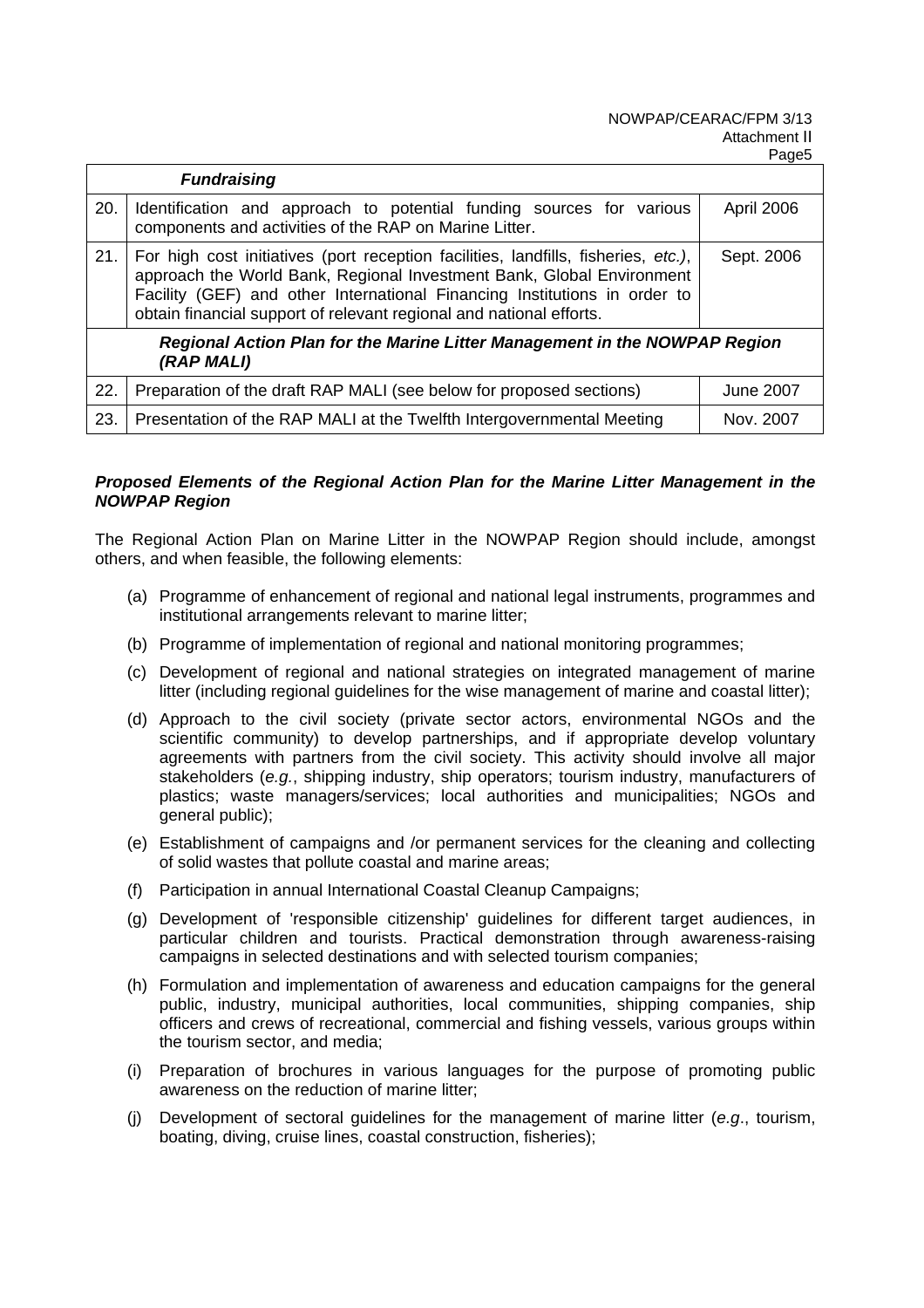|                                                                                          | <b>Fundraising</b>                                                                                                                                                                                                                                                                                                            |            |
|------------------------------------------------------------------------------------------|-------------------------------------------------------------------------------------------------------------------------------------------------------------------------------------------------------------------------------------------------------------------------------------------------------------------------------|------------|
| 20.                                                                                      | Identification and approach to potential funding sources for various<br>components and activities of the RAP on Marine Litter.                                                                                                                                                                                                | April 2006 |
| 21.                                                                                      | For high cost initiatives (port reception facilities, landfills, fisheries, etc.),<br>Sept. 2006<br>approach the World Bank, Regional Investment Bank, Global Environment<br>Facility (GEF) and other International Financing Institutions in order to<br>obtain financial support of relevant regional and national efforts. |            |
| Regional Action Plan for the Marine Litter Management in the NOWPAP Region<br>(RAP MALI) |                                                                                                                                                                                                                                                                                                                               |            |
| 22.                                                                                      | Preparation of the draft RAP MALI (see below for proposed sections)                                                                                                                                                                                                                                                           | June 2007  |
| 23.                                                                                      | Presentation of the RAP MALI at the Twelfth Intergovernmental Meeting                                                                                                                                                                                                                                                         | Nov. 2007  |

# *Proposed Elements of the Regional Action Plan for the Marine Litter Management in the NOWPAP Region*

The Regional Action Plan on Marine Litter in the NOWPAP Region should include, amongst others, and when feasible, the following elements:

- (a) Programme of enhancement of regional and national legal instruments, programmes and institutional arrangements relevant to marine litter;
- (b) Programme of implementation of regional and national monitoring programmes;
- (c) Development of regional and national strategies on integrated management of marine litter (including regional guidelines for the wise management of marine and coastal litter);
- (d) Approach to the civil society (private sector actors, environmental NGOs and the scientific community) to develop partnerships, and if appropriate develop voluntary agreements with partners from the civil society. This activity should involve all major stakeholders (*e.g.*, shipping industry, ship operators; tourism industry, manufacturers of plastics; waste managers/services; local authorities and municipalities; NGOs and general public);
- (e) Establishment of campaigns and /or permanent services for the cleaning and collecting of solid wastes that pollute coastal and marine areas;
- (f) Participation in annual International Coastal Cleanup Campaigns;
- (g) Development of 'responsible citizenship' guidelines for different target audiences, in particular children and tourists. Practical demonstration through awareness-raising campaigns in selected destinations and with selected tourism companies;
- (h) Formulation and implementation of awareness and education campaigns for the general public, industry, municipal authorities, local communities, shipping companies, ship officers and crews of recreational, commercial and fishing vessels, various groups within the tourism sector, and media;
- (i) Preparation of brochures in various languages for the purpose of promoting public awareness on the reduction of marine litter;
- (j) Development of sectoral guidelines for the management of marine litter (*e.g*., tourism, boating, diving, cruise lines, coastal construction, fisheries);